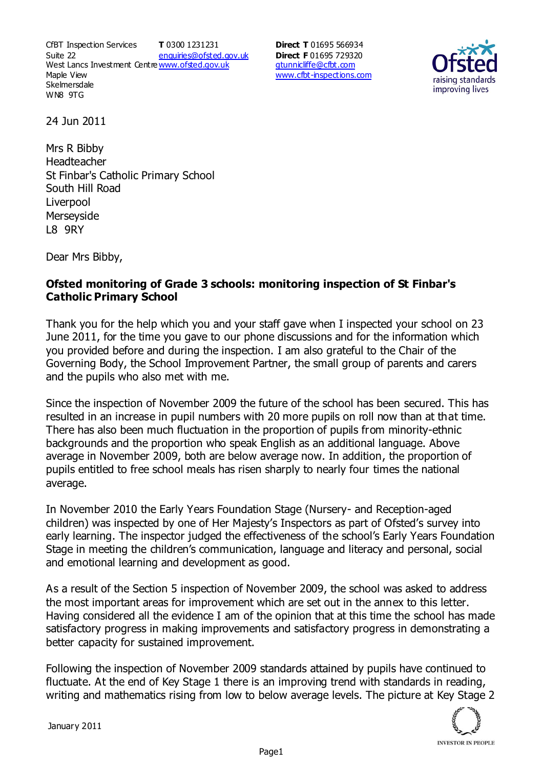CfBT Inspection Services Suite 22 West Lancs Investment Centre<u>www.ofsted.gov.uk</u> Maple View **Skelmersdale** WN8 9TG **T** 0300 1231231 enquiries@ofsted.gov.uk

**Direct T** 01695 566934 **Direct F** 01695 729320 gtunnicliffe@cfbt.com www.cfbt-inspections.com



24 Jun 2011

Mrs R Bibby Headteacher St Finbar's Catholic Primary School South Hill Road Liverpool **Merseyside** L8 9RY

Dear Mrs Bibby,

## **Ofsted monitoring of Grade 3 schools: monitoring inspection of St Finbar's Catholic Primary School**

Thank you for the help which you and your staff gave when I inspected your school on 23 June 2011, for the time you gave to our phone discussions and for the information which you provided before and during the inspection. I am also grateful to the Chair of the Governing Body, the School Improvement Partner, the small group of parents and carers and the pupils who also met with me.

Since the inspection of November 2009 the future of the school has been secured. This has resulted in an increase in pupil numbers with 20 more pupils on roll now than at that time. There has also been much fluctuation in the proportion of pupils from minority-ethnic backgrounds and the proportion who speak English as an additional language. Above average in November 2009, both are below average now. In addition, the proportion of pupils entitled to free school meals has risen sharply to nearly four times the national average.

In November 2010 the Early Years Foundation Stage (Nursery- and Reception-aged children) was inspected by one of Her Majesty's Inspectors as part of Ofsted's survey into early learning. The inspector judged the effectiveness of the school's Early Years Foundation Stage in meeting the children's communication, language and literacy and personal, social and emotional learning and development as good.

As a result of the Section 5 inspection of November 2009, the school was asked to address the most important areas for improvement which are set out in the annex to this letter. Having considered all the evidence I am of the opinion that at this time the school has made satisfactory progress in making improvements and satisfactory progress in demonstrating a better capacity for sustained improvement.

Following the inspection of November 2009 standards attained by pupils have continued to fluctuate. At the end of Key Stage 1 there is an improving trend with standards in reading, writing and mathematics rising from low to below average levels. The picture at Key Stage 2

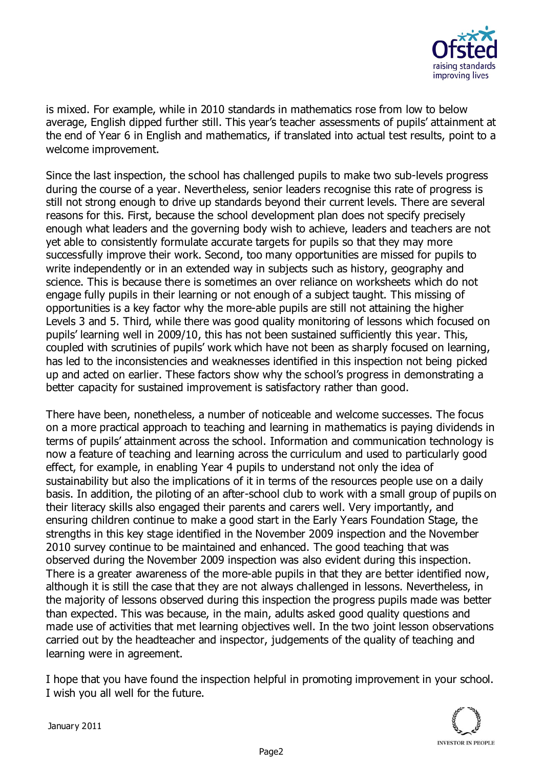

is mixed. For example, while in 2010 standards in mathematics rose from low to below average, English dipped further still. This year's teacher assessments of pupils' attainment at the end of Year 6 in English and mathematics, if translated into actual test results, point to a welcome improvement.

Since the last inspection, the school has challenged pupils to make two sub-levels progress during the course of a year. Nevertheless, senior leaders recognise this rate of progress is still not strong enough to drive up standards beyond their current levels. There are several reasons for this. First, because the school development plan does not specify precisely enough what leaders and the governing body wish to achieve, leaders and teachers are not yet able to consistently formulate accurate targets for pupils so that they may more successfully improve their work. Second, too many opportunities are missed for pupils to write independently or in an extended way in subjects such as history, geography and science. This is because there is sometimes an over reliance on worksheets which do not engage fully pupils in their learning or not enough of a subject taught. This missing of opportunities is a key factor why the more-able pupils are still not attaining the higher Levels 3 and 5. Third, while there was good quality monitoring of lessons which focused on pupils' learning well in 2009/10, this has not been sustained sufficiently this year. This, coupled with scrutinies of pupils' work which have not been as sharply focused on learning, has led to the inconsistencies and weaknesses identified in this inspection not being picked up and acted on earlier. These factors show why the school's progress in demonstrating a better capacity for sustained improvement is satisfactory rather than good.

There have been, nonetheless, a number of noticeable and welcome successes. The focus on a more practical approach to teaching and learning in mathematics is paying dividends in terms of pupils' attainment across the school. Information and communication technology is now a feature of teaching and learning across the curriculum and used to particularly good effect, for example, in enabling Year 4 pupils to understand not only the idea of sustainability but also the implications of it in terms of the resources people use on a daily basis. In addition, the piloting of an after-school club to work with a small group of pupils on their literacy skills also engaged their parents and carers well. Very importantly, and ensuring children continue to make a good start in the Early Years Foundation Stage, the strengths in this key stage identified in the November 2009 inspection and the November 2010 survey continue to be maintained and enhanced. The good teaching that was observed during the November 2009 inspection was also evident during this inspection. There is a greater awareness of the more-able pupils in that they are better identified now, although it is still the case that they are not always challenged in lessons. Nevertheless, in the majority of lessons observed during this inspection the progress pupils made was better than expected. This was because, in the main, adults asked good quality questions and made use of activities that met learning objectives well. In the two joint lesson observations carried out by the headteacher and inspector, judgements of the quality of teaching and learning were in agreement.

I hope that you have found the inspection helpful in promoting improvement in your school. I wish you all well for the future.



January 2011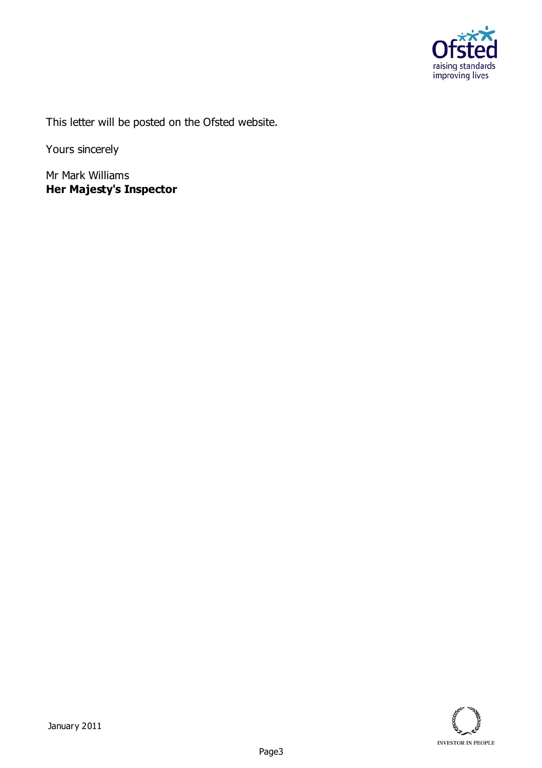

This letter will be posted on the Ofsted website.

Yours sincerely

Mr Mark Williams **Her Majesty's Inspector**